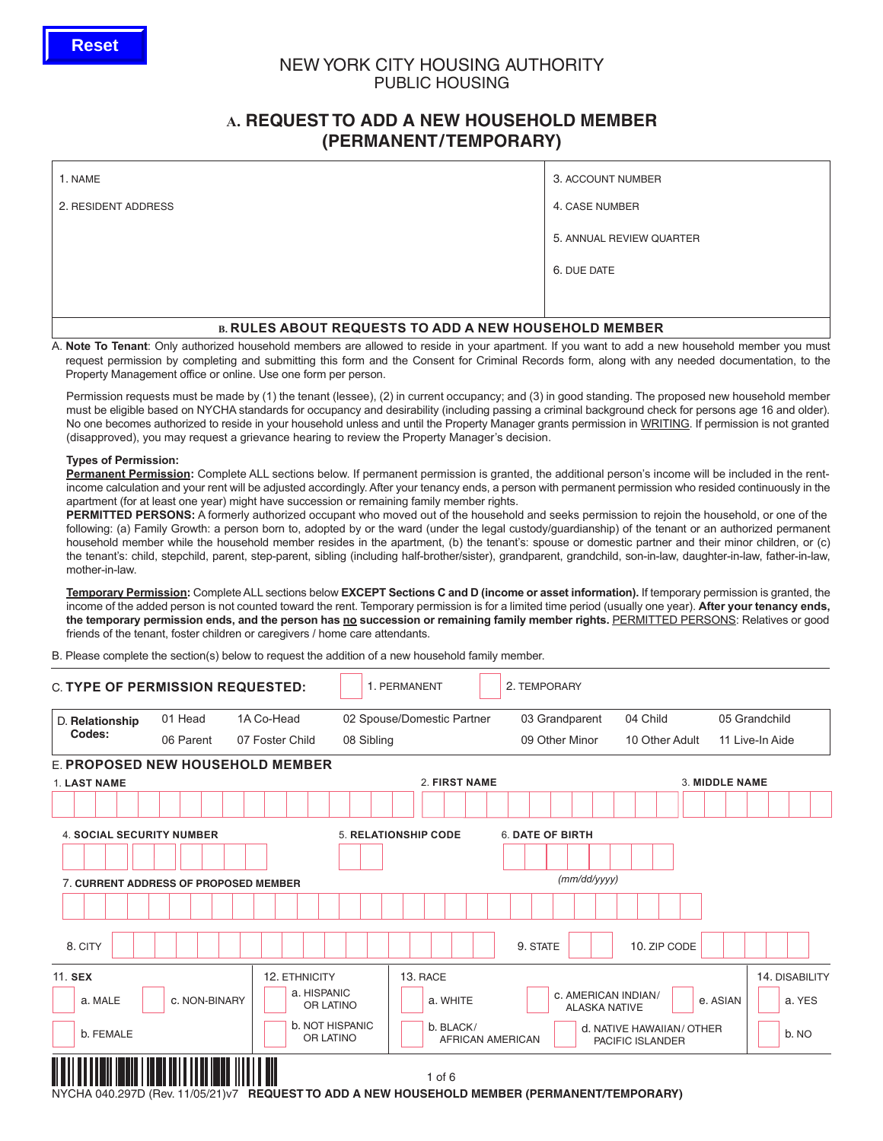# NEW YORK CITY HOUSING AUTHORITY PUBLIC HOUSING

# **A. REQUEST TO ADD A NEW HOUSEHOLD MEMBER (PERMANENT/TEMPORARY)**

| 1. NAME                                                      | 3. ACCOUNT NUMBER        |  |  |  |  |  |  |  |
|--------------------------------------------------------------|--------------------------|--|--|--|--|--|--|--|
| 2. RESIDENT ADDRESS                                          | 4. CASE NUMBER           |  |  |  |  |  |  |  |
|                                                              | 5. ANNUAL REVIEW QUARTER |  |  |  |  |  |  |  |
|                                                              | 6. DUE DATE              |  |  |  |  |  |  |  |
|                                                              |                          |  |  |  |  |  |  |  |
| <b>B. RULES ABOUT REQUESTS TO ADD A NEW HOUSEHOLD MEMBER</b> |                          |  |  |  |  |  |  |  |

#### A. **Note To Tenant**: Only authorized household members are allowed to reside in your apartment. If you want to add a new household member you must request permission by completing and submitting this form and the Consent for Criminal Records form, along with any needed documentation, to the Property Management office or online. Use one form per person.

Permission requests must be made by (1) the tenant (lessee), (2) in current occupancy; and (3) in good standing. The proposed new household member must be eligible based on NYCHA standards for occupancy and desirability (including passing a criminal background check for persons age 16 and older). No one becomes authorized to reside in your household unless and until the Property Manager grants permission in WRITING. If permission is not granted (disapproved), you may request a grievance hearing to review the Property Manager's decision.

### **Types of Permission:**

**Permanent Permission:** Complete ALL sections below. If permanent permission is granted, the additional person's income will be included in the rentincome calculation and your rent will be adjusted accordingly. After your tenancy ends, a person with permanent permission who resided continuously in the apartment (for at least one year) might have succession or remaining family member rights.

**PERMITTED PERSONS:** A formerly authorized occupant who moved out of the household and seeks permission to rejoin the household, or one of the following: (a) Family Growth: a person born to, adopted by or the ward (under the legal custody/guardianship) of the tenant or an authorized permanent household member while the household member resides in the apartment, (b) the tenant's: spouse or domestic partner and their minor children, or (c) the tenant's: child, stepchild, parent, step-parent, sibling (including half-brother/sister), grandparent, grandchild, son-in-law, daughter-in-law, father-in-law, mother-in-law.

**Temporary Permission:** Complete ALL sections below **EXCEPT Sections C and D (income or asset information).** If temporary permission is granted, the income of the added person is not counted toward the rent. Temporary permission is for a limited time period (usually one year). **After your tenancy ends,** the temporary permission ends, and the person has no succession or remaining family member rights. PERMITTED PERSONS: Relatives or good friends of the tenant, foster children or caregivers / home care attendants.

B. Please complete the section(s) below to request the addition of a new household family member.

| <b>C. TYPE OF PERMISSION REQUESTED:</b>                                                              |                                       |                                            |            | 1. PERMANENT                |                         | 2. TEMPORARY            |                      |                                               |                |                |
|------------------------------------------------------------------------------------------------------|---------------------------------------|--------------------------------------------|------------|-----------------------------|-------------------------|-------------------------|----------------------|-----------------------------------------------|----------------|----------------|
| D. Relationship                                                                                      | 01 Head                               | 1A Co-Head                                 |            | 02 Spouse/Domestic Partner  |                         | 03 Grandparent          |                      | 04 Child                                      |                | 05 Grandchild  |
| Codes:                                                                                               | 06 Parent                             | 07 Foster Child                            | 08 Sibling | 09 Other Minor              |                         | 10 Other Adult          | 11 Live-In Aide      |                                               |                |                |
| E. PROPOSED NEW HOUSEHOLD MEMBER                                                                     |                                       |                                            |            |                             |                         |                         |                      |                                               |                |                |
| 1. LAST NAME                                                                                         |                                       |                                            |            | 2. FIRST NAME               |                         |                         |                      |                                               | 3. MIDDLE NAME |                |
|                                                                                                      |                                       |                                            |            |                             |                         |                         |                      |                                               |                |                |
| <b>4. SOCIAL SECURITY NUMBER</b>                                                                     |                                       |                                            |            | <b>5. RELATIONSHIP CODE</b> |                         | <b>6. DATE OF BIRTH</b> |                      |                                               |                |                |
|                                                                                                      |                                       |                                            |            |                             |                         |                         |                      |                                               |                |                |
|                                                                                                      | 7. CURRENT ADDRESS OF PROPOSED MEMBER |                                            |            |                             |                         |                         | (mm/dd/yyyy)         |                                               |                |                |
|                                                                                                      |                                       |                                            |            |                             |                         |                         |                      |                                               |                |                |
| 8. CITY                                                                                              |                                       |                                            |            |                             |                         | 9. STATE                |                      | 10. ZIP CODE                                  |                |                |
| 11. SEX                                                                                              |                                       | 12. ETHNICITY                              |            | 13. RACE                    |                         |                         |                      |                                               |                | 14. DISABILITY |
| a. MALE                                                                                              | c. NON-BINARY                         | a. HISPANIC<br>OR LATINO                   |            | a. WHITE                    |                         |                         | <b>ALASKA NATIVE</b> | <b>c. AMERICAN INDIAN/</b>                    | e. ASIAN       | a. YES         |
| b. FEMALE                                                                                            |                                       | <b>b. NOT HISPANIC</b><br><b>OR LATINO</b> |            | b. BLACK/                   | <b>AFRICAN AMERICAN</b> |                         |                      | d. NATIVE HAWAIIAN/ OTHER<br>PACIFIC ISLANDER |                | b. NO          |
| NVCHA 040 907D (Dov. 11/05/91) v7 <b>DEOHECT TO ADD A NEW HOHCEHOLD MEMBED (DEDMANENT/TEMBODADV)</b> |                                       |                                            |            | $1$ of $6$                  |                         |                         |                      |                                               |                |                |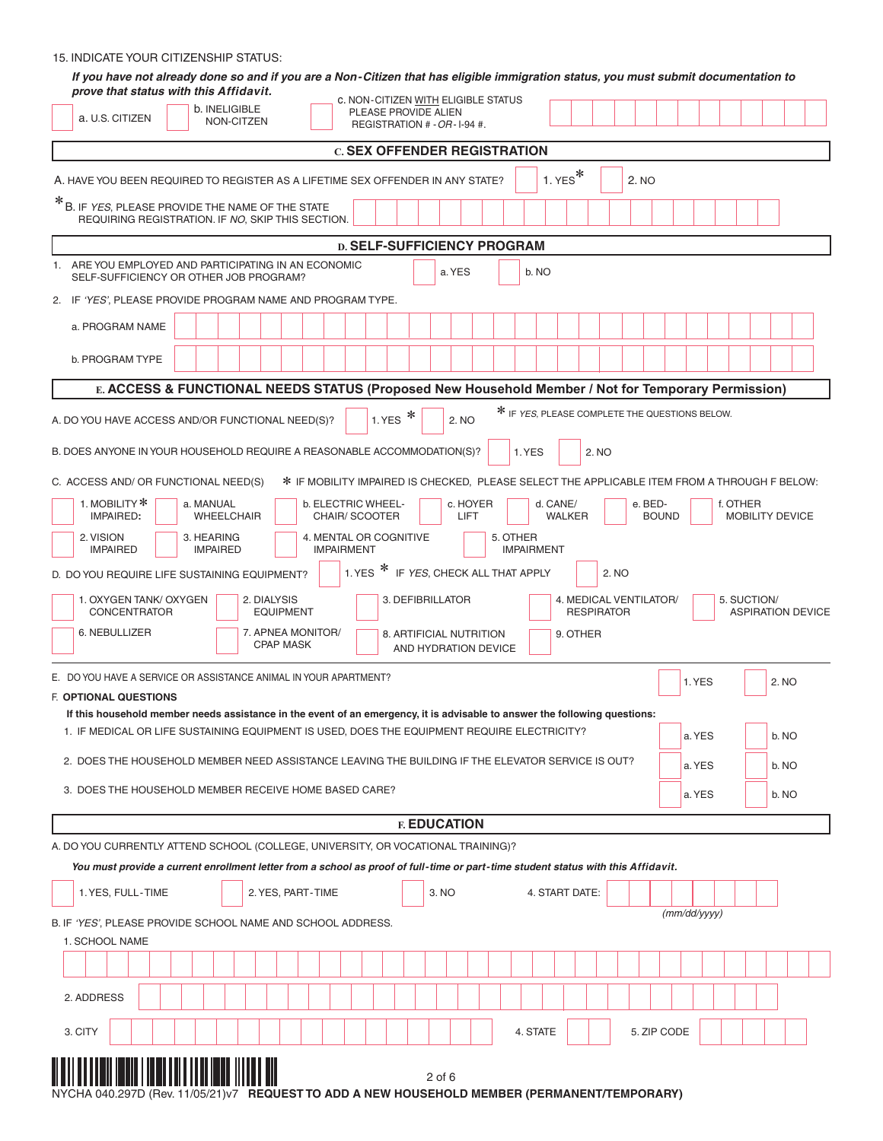## 15. INDICATE YOUR CITIZENSHIP STATUS:

| If you have not already done so and if you are a Non-Citizen that has eligible immigration status, you must submit documentation to<br>prove that status with this Affidavit.                                                                |
|----------------------------------------------------------------------------------------------------------------------------------------------------------------------------------------------------------------------------------------------|
| C. NON-CITIZEN WITH ELIGIBLE STATUS<br>b. INELIGIBLE<br>PLEASE PROVIDE ALIEN<br>a. U.S. CITIZEN<br>NON-CITZEN<br>REGISTRATION # - OR - I-94 #.                                                                                               |
| <b>C. SEX OFFENDER REGISTRATION</b>                                                                                                                                                                                                          |
| $1.$ YES <sup>*</sup><br>A. HAVE YOU BEEN REQUIRED TO REGISTER AS A LIFETIME SEX OFFENDER IN ANY STATE?<br>2. NO                                                                                                                             |
| *B. IF YES, PLEASE PROVIDE THE NAME OF THE STATE<br>REQUIRING REGISTRATION. IF NO. SKIP THIS SECTION.                                                                                                                                        |
| <b>D. SELF-SUFFICIENCY PROGRAM</b>                                                                                                                                                                                                           |
| 1. ARE YOU EMPLOYED AND PARTICIPATING IN AN ECONOMIC<br>a. YES<br>b. NO<br>SELF-SUFFICIENCY OR OTHER JOB PROGRAM?                                                                                                                            |
| 2. IF 'YES', PLEASE PROVIDE PROGRAM NAME AND PROGRAM TYPE.                                                                                                                                                                                   |
| a. PROGRAM NAME                                                                                                                                                                                                                              |
| b. PROGRAM TYPE                                                                                                                                                                                                                              |
| E. ACCESS & FUNCTIONAL NEEDS STATUS (Proposed New Household Member / Not for Temporary Permission)                                                                                                                                           |
| * IF YES, PLEASE COMPLETE THE QUESTIONS BELOW.<br>1. YES $*$<br>A. DO YOU HAVE ACCESS AND/OR FUNCTIONAL NEED(S)?<br>2. NO                                                                                                                    |
| B. DOES ANYONE IN YOUR HOUSEHOLD REQUIRE A REASONABLE ACCOMMODATION(S)?<br>1. YES<br>2. NO                                                                                                                                                   |
| * IF MOBILITY IMPAIRED IS CHECKED, PLEASE SELECT THE APPLICABLE ITEM FROM A THROUGH F BELOW:<br>C. ACCESS AND/ OR FUNCTIONAL NEED(S)                                                                                                         |
| 1. MOBILITY *<br>a. MANUAL<br>b. ELECTRIC WHEEL-<br>c. HOYER<br>d. CANE/<br>e. BED-<br>f. OTHER<br>CHAIR/SCOOTER<br><b>BOUND</b><br>IMPAIRED:<br><b>WHEELCHAIR</b><br>LIFT<br><b>WALKER</b><br><b>MOBILITY DEVICE</b>                        |
| 4. MENTAL OR COGNITIVE<br>5. OTHER<br>2. VISION<br>3. HEARING<br><b>IMPAIRED</b><br><b>IMPAIRED</b><br><b>IMPAIRMENT</b><br><b>IMPAIRMENT</b>                                                                                                |
| 1. YES $*$<br>IF YES, CHECK ALL THAT APPLY<br>2. NO<br>D. DO YOU REQUIRE LIFE SUSTAINING EQUIPMENT?                                                                                                                                          |
| 4. MEDICAL VENTILATOR/<br>1. OXYGEN TANK/ OXYGEN<br>2. DIALYSIS<br>3. DEFIBRILLATOR<br>5. SUCTION/<br>CONCENTRATOR<br><b>EQUIPMENT</b><br><b>RESPIRATOR</b><br><b>ASPIRATION DEVICE</b>                                                      |
| 6. NEBULLIZER<br>7. APNEA MONITOR/<br>9. OTHER<br>8. ARTIFICIAL NUTRITION<br><b>CPAP MASK</b><br>AND HYDRATION DEVICE                                                                                                                        |
| E. DO YOU HAVE A SERVICE OR ASSISTANCE ANIMAL IN YOUR APARTMENT?                                                                                                                                                                             |
| 1. YES<br>2. NO<br><b>F. OPTIONAL QUESTIONS</b>                                                                                                                                                                                              |
| If this household member needs assistance in the event of an emergency, it is advisable to answer the following questions:<br>1. IF MEDICAL OR LIFE SUSTAINING EQUIPMENT IS USED, DOES THE EQUIPMENT REQUIRE ELECTRICITY?<br>b. NO<br>a. YES |
| 2. DOES THE HOUSEHOLD MEMBER NEED ASSISTANCE LEAVING THE BUILDING IF THE ELEVATOR SERVICE IS OUT?<br>a. YES<br>b. NO                                                                                                                         |
| 3. DOES THE HOUSEHOLD MEMBER RECEIVE HOME BASED CARE?<br>a. YES<br>b. NO                                                                                                                                                                     |
| <b>F. EDUCATION</b>                                                                                                                                                                                                                          |
| A. DO YOU CURRENTLY ATTEND SCHOOL (COLLEGE, UNIVERSITY, OR VOCATIONAL TRAINING)?                                                                                                                                                             |
| You must provide a current enrollment letter from a school as proof of full-time or part-time student status with this Affidavit.                                                                                                            |
| 1. YES, FULL-TIME<br>2. YES, PART-TIME<br>4. START DATE:<br>3. NO                                                                                                                                                                            |
| (mm/dd/yyyy)<br>B. IF 'YES', PLEASE PROVIDE SCHOOL NAME AND SCHOOL ADDRESS.                                                                                                                                                                  |
| 1. SCHOOL NAME                                                                                                                                                                                                                               |
|                                                                                                                                                                                                                                              |
| 2. ADDRESS                                                                                                                                                                                                                                   |
| 4. STATE<br>5. ZIP CODE<br>3. CITY                                                                                                                                                                                                           |
|                                                                                                                                                                                                                                              |
| $2$ of 6<br>NIECTTO ADD A NEW HOUCEHOLD MEMBED (DEDMANENT/TEMBODADV)                                                                                                                                                                         |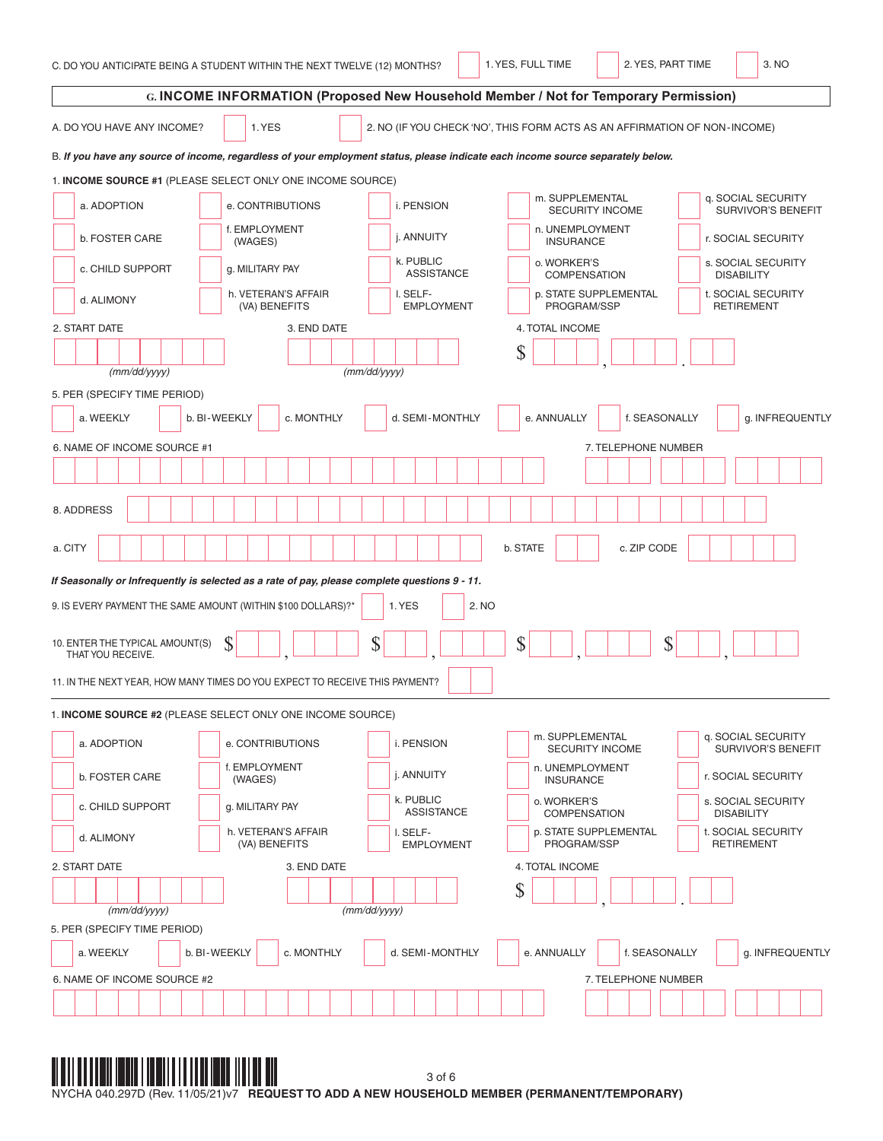| C. DO YOU ANTICIPATE BEING A STUDENT WITHIN THE NEXT TWELVE (12) MONTHS?                                                        | 3. NO<br>1. YES, FULL TIME<br>2. YES, PART TIME                                              |  |  |  |  |  |  |  |  |  |
|---------------------------------------------------------------------------------------------------------------------------------|----------------------------------------------------------------------------------------------|--|--|--|--|--|--|--|--|--|
| G. INCOME INFORMATION (Proposed New Household Member / Not for Temporary Permission)                                            |                                                                                              |  |  |  |  |  |  |  |  |  |
| 1. YES<br>2. NO (IF YOU CHECK 'NO', THIS FORM ACTS AS AN AFFIRMATION OF NON-INCOME)<br>A. DO YOU HAVE ANY INCOME?               |                                                                                              |  |  |  |  |  |  |  |  |  |
| B. If you have any source of income, regardless of your employment status, please indicate each income source separately below. |                                                                                              |  |  |  |  |  |  |  |  |  |
| 1. INCOME SOURCE #1 (PLEASE SELECT ONLY ONE INCOME SOURCE)                                                                      |                                                                                              |  |  |  |  |  |  |  |  |  |
| a. ADOPTION<br>i. PENSION<br>e. CONTRIBUTIONS                                                                                   | m. SUPPLEMENTAL<br>q. SOCIAL SECURITY<br>SURVIVOR'S BENEFIT<br><b>SECURITY INCOME</b>        |  |  |  |  |  |  |  |  |  |
| f. EMPLOYMENT<br>j. ANNUITY<br>b. FOSTER CARE<br>(WAGES)                                                                        | n. UNEMPLOYMENT<br>r. SOCIAL SECURITY<br><b>INSURANCE</b>                                    |  |  |  |  |  |  |  |  |  |
| k. PUBLIC<br>c. CHILD SUPPORT<br>g. MILITARY PAY<br><b>ASSISTANCE</b>                                                           | o. WORKER'S<br>s. SOCIAL SECURITY<br><b>COMPENSATION</b><br><b>DISABILITY</b>                |  |  |  |  |  |  |  |  |  |
| h. VETERAN'S AFFAIR<br>I. SELF-<br>d. ALIMONY<br><b>EMPLOYMENT</b><br>(VA) BENEFITS                                             | p. STATE SUPPLEMENTAL<br>t. SOCIAL SECURITY<br>PROGRAM/SSP<br><b>RETIREMENT</b>              |  |  |  |  |  |  |  |  |  |
| 2. START DATE<br>3. END DATE                                                                                                    | 4. TOTAL INCOME                                                                              |  |  |  |  |  |  |  |  |  |
| (mm/dd/yyyy)<br>(mm/dd/yyyy)                                                                                                    | \$                                                                                           |  |  |  |  |  |  |  |  |  |
| 5. PER (SPECIFY TIME PERIOD)                                                                                                    |                                                                                              |  |  |  |  |  |  |  |  |  |
| c. MONTHLY<br>d. SEMI-MONTHLY<br>b. BI-WEEKLY<br>a. WEEKLY                                                                      | e. ANNUALLY<br>f. SEASONALLY<br>g. INFREQUENTLY                                              |  |  |  |  |  |  |  |  |  |
| 6. NAME OF INCOME SOURCE #1                                                                                                     | 7. TELEPHONE NUMBER                                                                          |  |  |  |  |  |  |  |  |  |
|                                                                                                                                 |                                                                                              |  |  |  |  |  |  |  |  |  |
| 8. ADDRESS                                                                                                                      |                                                                                              |  |  |  |  |  |  |  |  |  |
| a. CITY                                                                                                                         | b. STATE<br>c. ZIP CODE                                                                      |  |  |  |  |  |  |  |  |  |
| If Seasonally or Infrequently is selected as a rate of pay, please complete questions 9 - 11.                                   |                                                                                              |  |  |  |  |  |  |  |  |  |
| 9. IS EVERY PAYMENT THE SAME AMOUNT (WITHIN \$100 DOLLARS)?*<br>1. YES                                                          | 2. NO                                                                                        |  |  |  |  |  |  |  |  |  |
| \$<br>\$<br>10. ENTER THE TYPICAL AMOUNT(S)<br>THAT YOU RECEIVE.                                                                | \$<br>\$                                                                                     |  |  |  |  |  |  |  |  |  |
| 11. IN THE NEXT YEAR, HOW MANY TIMES DO YOU EXPECT TO RECEIVE THIS PAYMENT?                                                     |                                                                                              |  |  |  |  |  |  |  |  |  |
| 1. INCOME SOURCE #2 (PLEASE SELECT ONLY ONE INCOME SOURCE)                                                                      |                                                                                              |  |  |  |  |  |  |  |  |  |
| a. ADOPTION<br>i. PENSION<br>e. CONTRIBUTIONS                                                                                   | m. SUPPLEMENTAL<br>q. SOCIAL SECURITY<br><b>SECURITY INCOME</b><br><b>SURVIVOR'S BENEFIT</b> |  |  |  |  |  |  |  |  |  |
| f. EMPLOYMENT<br>j. ANNUITY<br>b. FOSTER CARE<br>(WAGES)                                                                        | n. UNEMPLOYMENT<br>r. SOCIAL SECURITY<br><b>INSURANCE</b>                                    |  |  |  |  |  |  |  |  |  |
| k. PUBLIC<br>c. CHILD SUPPORT<br>g. MILITARY PAY<br><b>ASSISTANCE</b>                                                           | o. WORKER'S<br>s. SOCIAL SECURITY<br><b>COMPENSATION</b><br><b>DISABILITY</b>                |  |  |  |  |  |  |  |  |  |
| h. VETERAN'S AFFAIR<br>I. SELF-<br>d. ALIMONY<br>(VA) BENEFITS<br><b>EMPLOYMENT</b>                                             | t. SOCIAL SECURITY<br>p. STATE SUPPLEMENTAL<br>PROGRAM/SSP<br><b>RETIREMENT</b>              |  |  |  |  |  |  |  |  |  |
| 3. END DATE<br>2. START DATE                                                                                                    | 4. TOTAL INCOME                                                                              |  |  |  |  |  |  |  |  |  |
|                                                                                                                                 | \$                                                                                           |  |  |  |  |  |  |  |  |  |
| (mm/dd/yyyy)<br>(mm/dd/yyyy)<br>5. PER (SPECIFY TIME PERIOD)                                                                    |                                                                                              |  |  |  |  |  |  |  |  |  |
| b. BI-WEEKLY<br>d. SEMI-MONTHLY<br>a. WEEKLY<br>c. MONTHLY                                                                      | e. ANNUALLY<br>f. SEASONALLY<br>g. INFREQUENTLY                                              |  |  |  |  |  |  |  |  |  |
| 6. NAME OF INCOME SOURCE #2                                                                                                     | 7. TELEPHONE NUMBER                                                                          |  |  |  |  |  |  |  |  |  |
|                                                                                                                                 |                                                                                              |  |  |  |  |  |  |  |  |  |

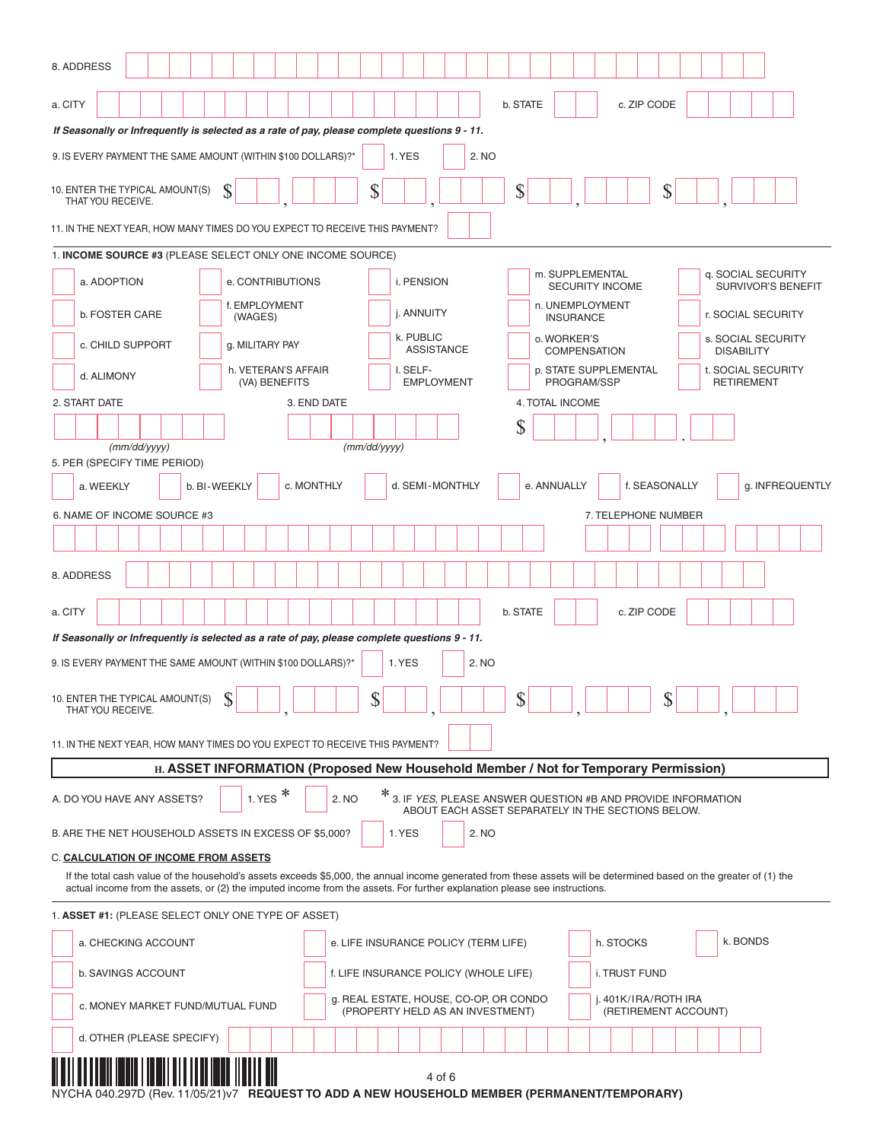| 8. ADDRESS                                                                                                                                                                                                                                                                                        |                                                 |
|---------------------------------------------------------------------------------------------------------------------------------------------------------------------------------------------------------------------------------------------------------------------------------------------------|-------------------------------------------------|
| b. STATE<br>a. CITY                                                                                                                                                                                                                                                                               | c. ZIP CODE                                     |
| If Seasonally or Infrequently is selected as a rate of pay, please complete questions 9 - 11.                                                                                                                                                                                                     |                                                 |
| 9. IS EVERY PAYMENT THE SAME AMOUNT (WITHIN \$100 DOLLARS)?*<br>1. YES<br>2. NO                                                                                                                                                                                                                   |                                                 |
| \$<br>\$<br>S<br>10. ENTER THE TYPICAL AMOUNT(S)<br>THAT YOU RECEIVE.                                                                                                                                                                                                                             | \$                                              |
| 11. IN THE NEXT YEAR, HOW MANY TIMES DO YOU EXPECT TO RECEIVE THIS PAYMENT?                                                                                                                                                                                                                       |                                                 |
| 1. INCOME SOURCE #3 (PLEASE SELECT ONLY ONE INCOME SOURCE)                                                                                                                                                                                                                                        |                                                 |
| m. SUPPLEMENTAL<br>a. ADOPTION<br>e. CONTRIBUTIONS<br>i. PENSION<br><b>SECURITY INCOME</b>                                                                                                                                                                                                        | q. SOCIAL SECURITY<br><b>SURVIVOR'S BENEFIT</b> |
| f. EMPLOYMENT<br>n. UNEMPLOYMENT<br>j. ANNUITY<br><b>b. FOSTER CARE</b><br>(WAGES)<br><b>INSURANCE</b>                                                                                                                                                                                            | r. SOCIAL SECURITY                              |
| k. PUBLIC<br>o. WORKER'S<br>c. CHILD SUPPORT<br>g. MILITARY PAY<br><b>ASSISTANCE</b><br><b>COMPENSATION</b>                                                                                                                                                                                       | s. SOCIAL SECURITY<br><b>DISABILITY</b>         |
| p. STATE SUPPLEMENTAL<br>h. VETERAN'S AFFAIR<br>I. SELF-<br>d. ALIMONY<br>PROGRAM/SSP<br>(VA) BENEFITS<br><b>EMPLOYMENT</b>                                                                                                                                                                       | t. SOCIAL SECURITY<br><b>RETIREMENT</b>         |
| 2. START DATE<br>3. END DATE<br>4. TOTAL INCOME                                                                                                                                                                                                                                                   |                                                 |
| \$                                                                                                                                                                                                                                                                                                |                                                 |
| (mm/dd/yyyy)<br>(mm/dd/yyyy)                                                                                                                                                                                                                                                                      |                                                 |
| 5. PER (SPECIFY TIME PERIOD)<br>c. MONTHLY<br>d. SEMI-MONTHLY<br>e. ANNUALLY<br>a. WEEKLY<br>b. BI-WEEKLY                                                                                                                                                                                         | f. SEASONALLY<br>g. INFREQUENTLY                |
|                                                                                                                                                                                                                                                                                                   |                                                 |
| 6. NAME OF INCOME SOURCE #3                                                                                                                                                                                                                                                                       | 7. TELEPHONE NUMBER                             |
|                                                                                                                                                                                                                                                                                                   |                                                 |
| 8. ADDRESS                                                                                                                                                                                                                                                                                        |                                                 |
| b. STATE<br>a. CITY                                                                                                                                                                                                                                                                               | c. ZIP CODE                                     |
| If Seasonally or Infrequently is selected as a rate of pay, please complete questions 9 - 11.                                                                                                                                                                                                     |                                                 |
| 9. IS EVERY PAYMENT THE SAME AMOUNT (WITHIN \$100 DOLLARS)?*<br>2. NO<br>1. YES                                                                                                                                                                                                                   |                                                 |
| ₼<br>ሰ<br>10. ENTER THE TYPICAL AMOUNT(S)<br>Φ<br>P<br>D<br>THAT YOU RECEIVE.                                                                                                                                                                                                                     | ሱ<br>Φ                                          |
| 11. IN THE NEXT YEAR, HOW MANY TIMES DO YOU EXPECT TO RECEIVE THIS PAYMENT?                                                                                                                                                                                                                       |                                                 |
| H. ASSET INFORMATION (Proposed New Household Member / Not for Temporary Permission)                                                                                                                                                                                                               |                                                 |
| * 3. IF YES, PLEASE ANSWER QUESTION #B AND PROVIDE INFORMATION<br>1. YES $*$<br>2. NO<br>A. DO YOU HAVE ANY ASSETS?<br>ABOUT EACH ASSET SEPARATELY IN THE SECTIONS BELOW.                                                                                                                         |                                                 |
| B. ARE THE NET HOUSEHOLD ASSETS IN EXCESS OF \$5,000?<br>1. YES<br>2. NO                                                                                                                                                                                                                          |                                                 |
| <b>C. CALCULATION OF INCOME FROM ASSETS</b>                                                                                                                                                                                                                                                       |                                                 |
| If the total cash value of the household's assets exceeds \$5,000, the annual income generated from these assets will be determined based on the greater of (1) the<br>actual income from the assets, or (2) the imputed income from the assets. For further explanation please see instructions. |                                                 |
| 1. ASSET #1: (PLEASE SELECT ONLY ONE TYPE OF ASSET)                                                                                                                                                                                                                                               |                                                 |
| a. CHECKING ACCOUNT<br>e. LIFE INSURANCE POLICY (TERM LIFE)                                                                                                                                                                                                                                       | k. BONDS<br>h. STOCKS                           |
| <b>b. SAVINGS ACCOUNT</b><br>f. LIFE INSURANCE POLICY (WHOLE LIFE)                                                                                                                                                                                                                                | i. TRUST FUND                                   |
| g. REAL ESTATE, HOUSE, CO-OP, OR CONDO<br>c. MONEY MARKET FUND/MUTUAL FUND<br>(PROPERTY HELD AS AN INVESTMENT)                                                                                                                                                                                    | j. 401K/IRA/ROTH IRA<br>(RETIREMENT ACCOUNT)    |
| d. OTHER (PLEASE SPECIFY)                                                                                                                                                                                                                                                                         |                                                 |
| 4 of 6                                                                                                                                                                                                                                                                                            |                                                 |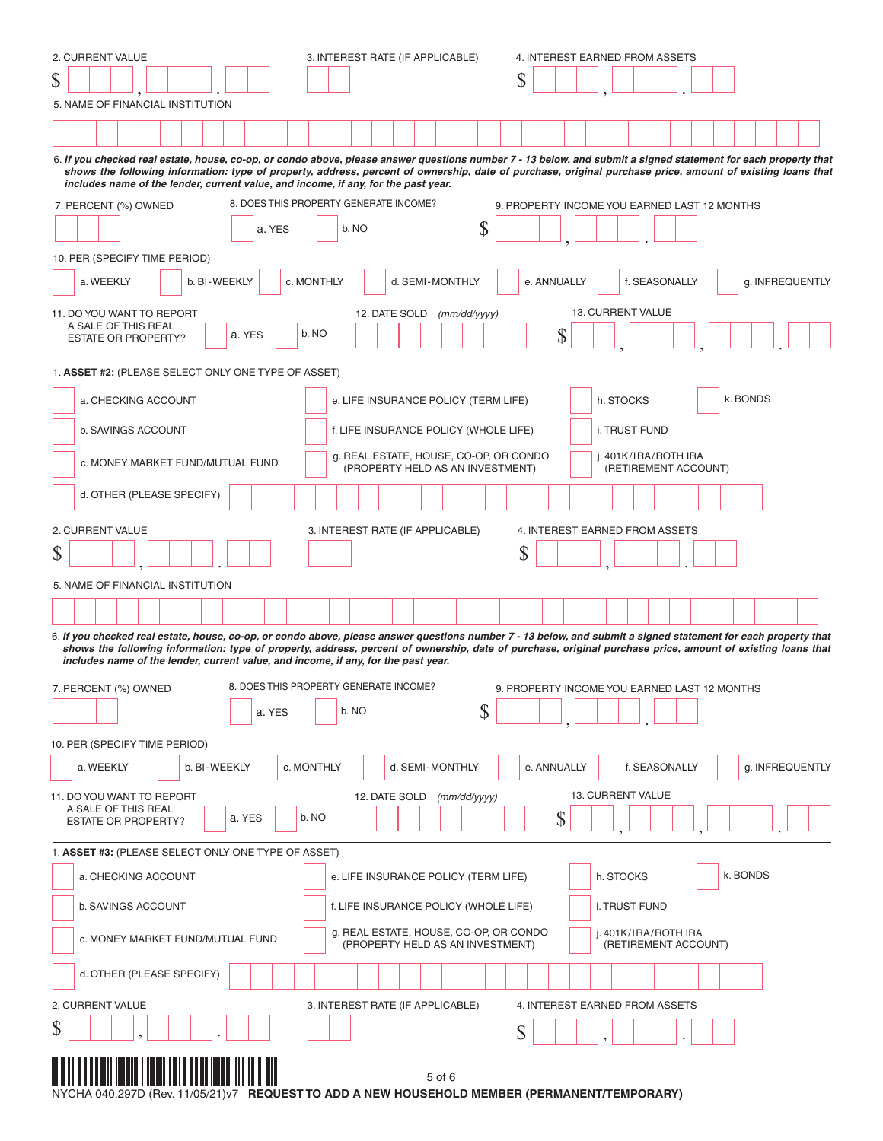| 2. CURRENT VALUE                                                                              | 3. INTEREST RATE (IF APPLICABLE)                                           | 4. INTEREST EARNED FROM ASSETS                                                                                                                                                                                                                                                                                               |
|-----------------------------------------------------------------------------------------------|----------------------------------------------------------------------------|------------------------------------------------------------------------------------------------------------------------------------------------------------------------------------------------------------------------------------------------------------------------------------------------------------------------------|
| \$                                                                                            |                                                                            | S                                                                                                                                                                                                                                                                                                                            |
| 5. NAME OF FINANCIAL INSTITUTION                                                              |                                                                            |                                                                                                                                                                                                                                                                                                                              |
|                                                                                               |                                                                            |                                                                                                                                                                                                                                                                                                                              |
|                                                                                               |                                                                            | 6. If you checked real estate, house, co-op, or condo above, please answer questions number 7 - 13 below, and submit a signed statement for each property that                                                                                                                                                               |
| includes name of the lender, current value, and income, if any, for the past year.            |                                                                            | shows the following information: type of property, address, percent of ownership, date of purchase, original purchase price, amount of existing loans that                                                                                                                                                                   |
| 7. PERCENT (%) OWNED                                                                          | 8. DOES THIS PROPERTY GENERATE INCOME?                                     | 9. PROPERTY INCOME YOU EARNED LAST 12 MONTHS                                                                                                                                                                                                                                                                                 |
| a. YES                                                                                        | \$<br>b. NO                                                                |                                                                                                                                                                                                                                                                                                                              |
|                                                                                               |                                                                            |                                                                                                                                                                                                                                                                                                                              |
| 10. PER (SPECIFY TIME PERIOD)<br>b. BI-WEEKLY<br>a. WEEKLY                                    | c. MONTHLY<br>d. SEMI-MONTHLY                                              | f. SEASONALLY<br>e. ANNUALLY<br>g. INFREQUENTLY                                                                                                                                                                                                                                                                              |
|                                                                                               |                                                                            |                                                                                                                                                                                                                                                                                                                              |
| 11. DO YOU WANT TO REPORT<br>A SALE OF THIS REAL                                              | 12. DATE SOLD<br>(mm/dd/yyyy)                                              | <b>13. CURRENT VALUE</b>                                                                                                                                                                                                                                                                                                     |
| a. YES<br><b>ESTATE OR PROPERTY?</b>                                                          | b. NO                                                                      | \$                                                                                                                                                                                                                                                                                                                           |
| 1. ASSET #2: (PLEASE SELECT ONLY ONE TYPE OF ASSET)                                           |                                                                            |                                                                                                                                                                                                                                                                                                                              |
| a. CHECKING ACCOUNT                                                                           | e. LIFE INSURANCE POLICY (TERM LIFE)                                       | k. BONDS<br>h. STOCKS                                                                                                                                                                                                                                                                                                        |
| <b>b. SAVINGS ACCOUNT</b>                                                                     | f. LIFE INSURANCE POLICY (WHOLE LIFE)                                      | i. TRUST FUND                                                                                                                                                                                                                                                                                                                |
|                                                                                               | g. REAL ESTATE, HOUSE, CO-OP, OR CONDO                                     | j. 401K/IRA/ROTH IRA                                                                                                                                                                                                                                                                                                         |
| c. MONEY MARKET FUND/MUTUAL FUND                                                              | (PROPERTY HELD AS AN INVESTMENT)                                           | (RETIREMENT ACCOUNT)                                                                                                                                                                                                                                                                                                         |
| d. OTHER (PLEASE SPECIFY)                                                                     |                                                                            |                                                                                                                                                                                                                                                                                                                              |
| 2. CURRENT VALUE                                                                              | 3. INTEREST RATE (IF APPLICABLE)                                           | 4. INTEREST EARNED FROM ASSETS                                                                                                                                                                                                                                                                                               |
| \$                                                                                            |                                                                            | \$                                                                                                                                                                                                                                                                                                                           |
|                                                                                               |                                                                            |                                                                                                                                                                                                                                                                                                                              |
| 5. NAME OF FINANCIAL INSTITUTION                                                              |                                                                            |                                                                                                                                                                                                                                                                                                                              |
|                                                                                               |                                                                            |                                                                                                                                                                                                                                                                                                                              |
| includes name of the lender, current value, and income, if any, for the past year.            |                                                                            | 6. If you checked real estate, house, co-op, or condo above, please answer questions number 7 - 13 below, and submit a signed statement for each property that<br>shows the following information: type of property, address, percent of ownership, date of purchase, original purchase price, amount of existing loans that |
| 7. PERCENT (%) OWNED                                                                          | 8. DOES THIS PROPERTY GENERATE INCOME?                                     | 9. PROPERTY INCOME YOU EARNED LAST 12 MONTHS                                                                                                                                                                                                                                                                                 |
| a. YES                                                                                        | \$<br>b. NO                                                                |                                                                                                                                                                                                                                                                                                                              |
| 10. PER (SPECIFY TIME PERIOD)                                                                 |                                                                            |                                                                                                                                                                                                                                                                                                                              |
| b. BI-WEEKLY<br>a. WEEKLY                                                                     | c. MONTHLY<br>d. SEMI-MONTHLY                                              | f. SEASONALLY<br>e. ANNUALLY<br>g. INFREQUENTLY                                                                                                                                                                                                                                                                              |
| 11. DO YOU WANT TO REPORT                                                                     | 12. DATE SOLD<br>(mm/dd/yyyy)                                              | 13. CURRENT VALUE                                                                                                                                                                                                                                                                                                            |
| A SALE OF THIS REAL<br>a. YES<br><b>ESTATE OR PROPERTY?</b>                                   | b. NO                                                                      | \$                                                                                                                                                                                                                                                                                                                           |
|                                                                                               |                                                                            |                                                                                                                                                                                                                                                                                                                              |
| 1. ASSET #3: (PLEASE SELECT ONLY ONE TYPE OF ASSET)                                           |                                                                            |                                                                                                                                                                                                                                                                                                                              |
| a. CHECKING ACCOUNT                                                                           | e. LIFE INSURANCE POLICY (TERM LIFE)                                       | k. BONDS<br>h. STOCKS                                                                                                                                                                                                                                                                                                        |
| b. SAVINGS ACCOUNT                                                                            | f. LIFE INSURANCE POLICY (WHOLE LIFE)                                      | i. TRUST FUND                                                                                                                                                                                                                                                                                                                |
| c. MONEY MARKET FUND/MUTUAL FUND                                                              | g. REAL ESTATE, HOUSE, CO-OP, OR CONDO<br>(PROPERTY HELD AS AN INVESTMENT) | j. 401K/IRA/ROTH IRA<br>(RETIREMENT ACCOUNT)                                                                                                                                                                                                                                                                                 |
| d. OTHER (PLEASE SPECIFY)                                                                     |                                                                            |                                                                                                                                                                                                                                                                                                                              |
| 2. CURRENT VALUE                                                                              | 3. INTEREST RATE (IF APPLICABLE)                                           | 4. INTEREST EARNED FROM ASSETS                                                                                                                                                                                                                                                                                               |
| \$                                                                                            |                                                                            | \$                                                                                                                                                                                                                                                                                                                           |
| NYCHA 040.297D (Rev. 11/05/21) v7 REQUEST TO ADD A NEW HOUSEHOLD MEMBER (PERMANENT/TEMPORARY) | 5 of 6                                                                     |                                                                                                                                                                                                                                                                                                                              |